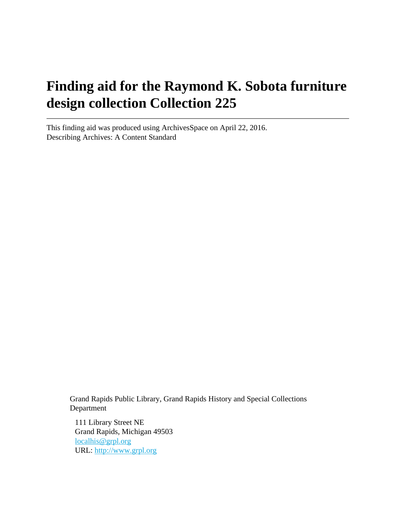# **Finding aid for the Raymond K. Sobota furniture design collection Collection 225**

This finding aid was produced using ArchivesSpace on April 22, 2016. Describing Archives: A Content Standard

> Grand Rapids Public Library, Grand Rapids History and Special Collections Department

111 Library Street NE Grand Rapids, Michigan 49503 [localhis@grpl.org](mailto:localhis@grpl.org) URL:<http://www.grpl.org>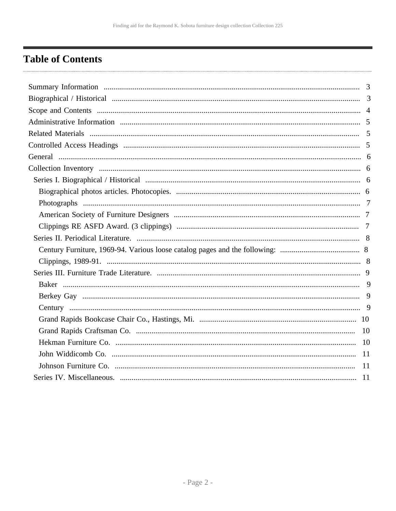# <span id="page-1-0"></span>**Table of Contents**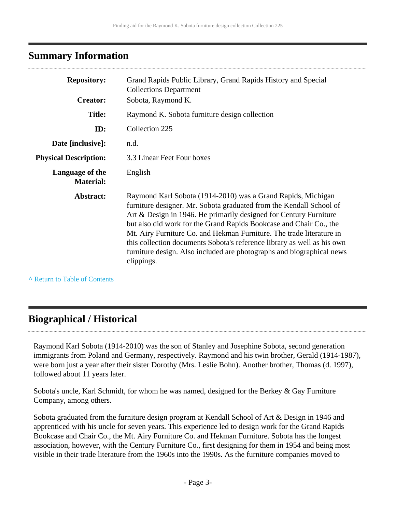### <span id="page-2-0"></span>**Summary Information**

| <b>Repository:</b>                  | Grand Rapids Public Library, Grand Rapids History and Special<br><b>Collections Department</b>                                                                                                                                                                                                                                                                                                                                                                                                                           |
|-------------------------------------|--------------------------------------------------------------------------------------------------------------------------------------------------------------------------------------------------------------------------------------------------------------------------------------------------------------------------------------------------------------------------------------------------------------------------------------------------------------------------------------------------------------------------|
| <b>Creator:</b>                     | Sobota, Raymond K.                                                                                                                                                                                                                                                                                                                                                                                                                                                                                                       |
| <b>Title:</b>                       | Raymond K. Sobota furniture design collection                                                                                                                                                                                                                                                                                                                                                                                                                                                                            |
| ID:                                 | Collection 225                                                                                                                                                                                                                                                                                                                                                                                                                                                                                                           |
| Date [inclusive]:                   | n.d.                                                                                                                                                                                                                                                                                                                                                                                                                                                                                                                     |
| <b>Physical Description:</b>        | 3.3 Linear Feet Four boxes                                                                                                                                                                                                                                                                                                                                                                                                                                                                                               |
| Language of the<br><b>Material:</b> | English                                                                                                                                                                                                                                                                                                                                                                                                                                                                                                                  |
| Abstract:                           | Raymond Karl Sobota (1914-2010) was a Grand Rapids, Michigan<br>furniture designer. Mr. Sobota graduated from the Kendall School of<br>Art & Design in 1946. He primarily designed for Century Furniture<br>but also did work for the Grand Rapids Bookcase and Chair Co., the<br>Mt. Airy Furniture Co. and Hekman Furniture. The trade literature in<br>this collection documents Sobota's reference library as well as his own<br>furniture design. Also included are photographs and biographical news<br>clippings. |

**^** [Return to Table of Contents](#page-1-0)

# <span id="page-2-1"></span>**Biographical / Historical**

Raymond Karl Sobota (1914-2010) was the son of Stanley and Josephine Sobota, second generation immigrants from Poland and Germany, respectively. Raymond and his twin brother, Gerald (1914-1987), were born just a year after their sister Dorothy (Mrs. Leslie Bohn). Another brother, Thomas (d. 1997), followed about 11 years later.

Sobota's uncle, Karl Schmidt, for whom he was named, designed for the Berkey & Gay Furniture Company, among others.

Sobota graduated from the furniture design program at Kendall School of Art & Design in 1946 and apprenticed with his uncle for seven years. This experience led to design work for the Grand Rapids Bookcase and Chair Co., the Mt. Airy Furniture Co. and Hekman Furniture. Sobota has the longest association, however, with the Century Furniture Co., first designing for them in 1954 and being most visible in their trade literature from the 1960s into the 1990s. As the furniture companies moved to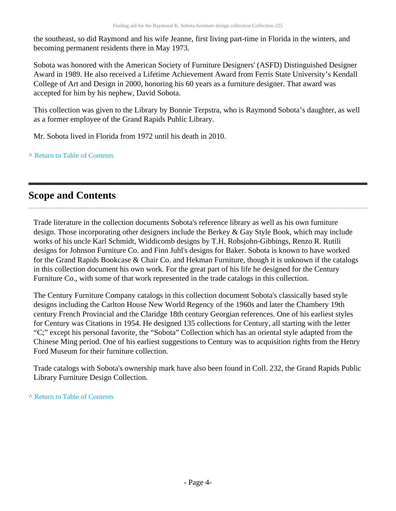the southeast, so did Raymond and his wife Jeanne, first living part-time in Florida in the winters, and becoming permanent residents there in May 1973.

Sobota was honored with the American Society of Furniture Designers' (ASFD) Distinguished Designer Award in 1989. He also received a Lifetime Achievement Award from Ferris State University's Kendall College of Art and Design in 2000, honoring his 60 years as a furniture designer. That award was accepted for him by his nephew, David Sobota.

This collection was given to the Library by Bonnie Terpstra, who is Raymond Sobota's daughter, as well as a former employee of the Grand Rapids Public Library.

Mr. Sobota lived in Florida from 1972 until his death in 2010.

**^** [Return to Table of Contents](#page-1-0)

### <span id="page-3-0"></span>**Scope and Contents**

Trade literature in the collection documents Sobota's reference library as well as his own furniture design. Those incorporating other designers include the Berkey & Gay Style Book, which may include works of his uncle Karl Schmidt, Widdicomb designs by T.H. Robsjohn-Gibbings, Renzo R. Rutili designs for Johnson Furniture Co. and Finn Juhl's designs for Baker. Sobota is known to have worked for the Grand Rapids Bookcase & Chair Co. and Hekman Furniture, though it is unknown if the catalogs in this collection document his own work. For the great part of his life he designed for the Century Furniture Co., with some of that work represented in the trade catalogs in this collection.

The Century Furniture Company catalogs in this collection document Sobota's classically based style designs including the Carlton House New World Regency of the 1960s and later the Chambery 19th century French Provincial and the Claridge 18th century Georgian references. One of his earliest styles for Century was Citations in 1954. He designed 135 collections for Century, all starting with the letter "C;" except his personal favorite, the "Sobota" Collection which has an oriental style adapted from the Chinese Ming period. One of his earliest suggestions to Century was to acquisition rights from the Henry Ford Museum for their furniture collection.

Trade catalogs with Sobota's ownership mark have also been found in Coll. 232, the Grand Rapids Public Library Furniture Design Collection.

**^** [Return to Table of Contents](#page-1-0)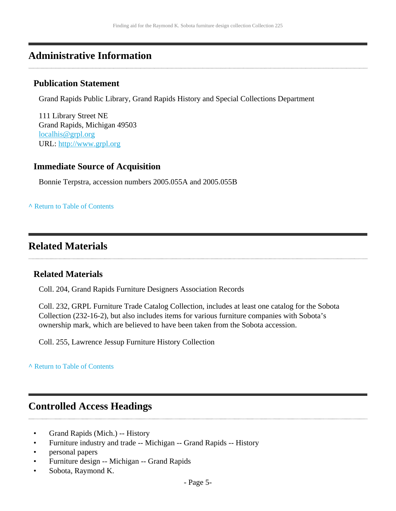### <span id="page-4-0"></span>**Administrative Information**

#### **Publication Statement**

Grand Rapids Public Library, Grand Rapids History and Special Collections Department

111 Library Street NE Grand Rapids, Michigan 49503 [localhis@grpl.org](mailto:localhis@grpl.org) URL:<http://www.grpl.org>

#### **Immediate Source of Acquisition**

Bonnie Terpstra, accession numbers 2005.055A and 2005.055B

**^** [Return to Table of Contents](#page-1-0)

### <span id="page-4-1"></span>**Related Materials**

#### **Related Materials**

Coll. 204, Grand Rapids Furniture Designers Association Records

Coll. 232, GRPL Furniture Trade Catalog Collection, includes at least one catalog for the Sobota Collection (232-16-2), but also includes items for various furniture companies with Sobota's ownership mark, which are believed to have been taken from the Sobota accession.

Coll. 255, Lawrence Jessup Furniture History Collection

**^** [Return to Table of Contents](#page-1-0)

#### <span id="page-4-2"></span>**Controlled Access Headings**

- Grand Rapids (Mich.) -- History
- Furniture industry and trade -- Michigan -- Grand Rapids -- History
- personal papers
- Furniture design -- Michigan -- Grand Rapids
- Sobota, Raymond K.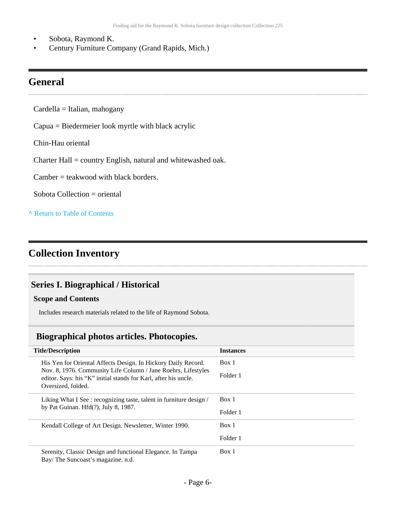- Sobota, Raymond K.
- Century Furniture Company (Grand Rapids, Mich.)

### <span id="page-5-0"></span>**General**

Cardella = Italian, mahogany

Capua = Biedermeier look myrtle with black acrylic

Chin-Hau oriental

Charter Hall = country English, natural and whitewashed oak.

Camber = teakwood with black borders.

Sobota Collection = oriental

**^** [Return to Table of Contents](#page-1-0)

# <span id="page-5-1"></span>**Collection Inventory**

#### <span id="page-5-2"></span>**Series I. Biographical / Historical**

#### **Scope and Contents**

Includes research materials related to the life of Raymond Sobota.

#### <span id="page-5-3"></span>**Biographical photos articles. Photocopies.**

| <b>Title/Description</b>                                                                                                                                                                                                | <b>Instances</b> |
|-------------------------------------------------------------------------------------------------------------------------------------------------------------------------------------------------------------------------|------------------|
| His Yen for Oriental Affects Design. In Hickory Daily Record.<br>Nov. 8, 1976. Community Life Column / Jane Roehrs, Lifestyles<br>editor. Says: his "K" initial stands for Karl, after his uncle.<br>Oversized, folded. | Box 1            |
|                                                                                                                                                                                                                         | Folder 1         |
| Liking What I See: recognizing taste, talent in furniture design /<br>by Pat Guinan. Hfd(?), July 8, 1987.                                                                                                              | Box 1            |
|                                                                                                                                                                                                                         | Folder 1         |
| Kendall College of Art Design. Newsletter, Winter 1990.                                                                                                                                                                 | Box 1            |
|                                                                                                                                                                                                                         | Folder 1         |
| Serenity, Classic Design and functional Elegance. In Tampa<br>Bay/The Suncoast's magazine. n.d.                                                                                                                         | Box 1            |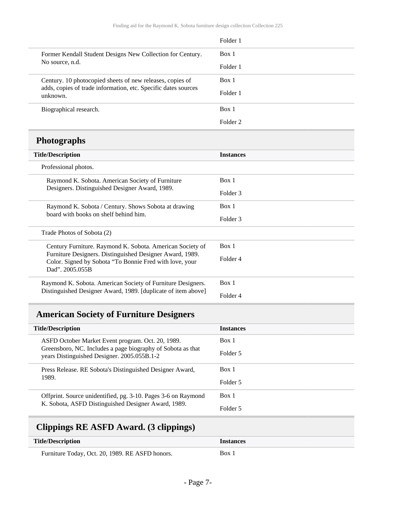|                                                                            | Folder 1            |
|----------------------------------------------------------------------------|---------------------|
| Former Kendall Student Designs New Collection for Century.                 | Box 1               |
| No source, n.d.                                                            | Folder 1            |
| Century. 10 photocopied sheets of new releases, copies of                  | Box 1               |
| adds, copies of trade information, etc. Specific dates sources<br>unknown. | Folder 1            |
| Biographical research.                                                     | Box 1               |
|                                                                            | Folder <sub>2</sub> |

# <span id="page-6-0"></span>**Photographs**

| <b>Title/Description</b>                                                                                                                                                                            | <b>Instances</b> |
|-----------------------------------------------------------------------------------------------------------------------------------------------------------------------------------------------------|------------------|
| Professional photos.                                                                                                                                                                                |                  |
| Raymond K. Sobota. American Society of Furniture                                                                                                                                                    | Box 1            |
| Designers. Distinguished Designer Award, 1989.                                                                                                                                                      | Folder 3         |
| Raymond K. Sobota / Century. Shows Sobota at drawing<br>board with books on shelf behind him.                                                                                                       | Box 1            |
|                                                                                                                                                                                                     | Folder 3         |
| Trade Photos of Sobota (2)                                                                                                                                                                          |                  |
| Century Furniture. Raymond K. Sobota. American Society of<br>Furniture Designers. Distinguished Designer Award, 1989.<br>Color. Signed by Sobota "To Bonnie Fred with love, your<br>Dad", 2005.055B | Box 1            |
|                                                                                                                                                                                                     | Folder 4         |
|                                                                                                                                                                                                     |                  |
| Raymond K. Sobota. American Society of Furniture Designers.<br>Distinguished Designer Award, 1989. [duplicate of item above]                                                                        | Box 1            |
|                                                                                                                                                                                                     | Folder 4         |

# <span id="page-6-1"></span>**American Society of Furniture Designers**

| <b>Title/Description</b>                                                                                             | <b>Instances</b> |
|----------------------------------------------------------------------------------------------------------------------|------------------|
| ASFD October Market Event program. Oct. 20, 1989.                                                                    | Box 1            |
| Greensboro, NC. Includes a page biography of Sobota as that<br>years Distinguished Designer. 2005.055B.1-2           | Folder 5         |
| Press Release. RE Sobota's Distinguished Designer Award,<br>1989.                                                    | Box 1            |
|                                                                                                                      | Folder 5         |
| Offprint. Source unidentified, pg. 3-10. Pages 3-6 on Raymond<br>K. Sobota, ASFD Distinguished Designer Award, 1989. | Box 1            |
|                                                                                                                      | Folder 5         |

# <span id="page-6-2"></span>**Clippings RE ASFD Award. (3 clippings)**

| <b>Title/Description</b>                        | <i><u><b>Instances</b></u></i> |
|-------------------------------------------------|--------------------------------|
| Furniture Today, Oct. 20, 1989. RE ASFD honors. | Box.                           |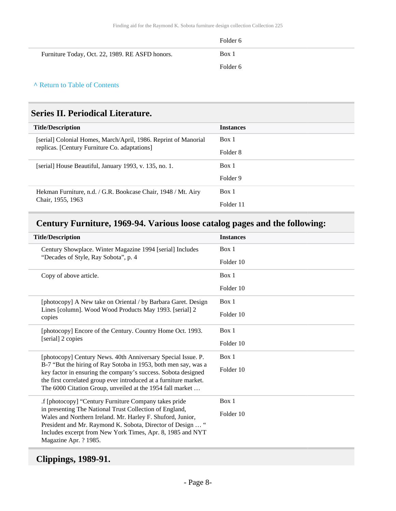|                                                 | Folder 6 |
|-------------------------------------------------|----------|
| Furniture Today, Oct. 22, 1989. RE ASFD honors. | Box 1    |
|                                                 | Folder 6 |
| A Return to Table of Contents                   |          |

#### <span id="page-7-0"></span>**Series II. Periodical Literature.**

| <b>Title/Description</b>                                                                                         | <b>Instances</b> |
|------------------------------------------------------------------------------------------------------------------|------------------|
| [serial] Colonial Homes, March/April, 1986. Reprint of Manorial<br>replicas. [Century Furniture Co. adaptations] | Box 1            |
|                                                                                                                  | Folder 8         |
| [serial] House Beautiful, January 1993, v. 135, no. 1.                                                           | Box 1            |
|                                                                                                                  | Folder 9         |
| Hekman Furniture, n.d. / G.R. Bookcase Chair, 1948 / Mt. Airy<br>Chair, 1955, 1963                               | Box 1            |
|                                                                                                                  | Folder 11        |

# <span id="page-7-1"></span>**Century Furniture, 1969-94. Various loose catalog pages and the following:**

| <b>Title/Description</b>                                                                                                                                                                                                                                                                                                          | <b>Instances</b> |
|-----------------------------------------------------------------------------------------------------------------------------------------------------------------------------------------------------------------------------------------------------------------------------------------------------------------------------------|------------------|
| Century Showplace. Winter Magazine 1994 [serial] Includes<br>"Decades of Style, Ray Sobota", p. 4                                                                                                                                                                                                                                 | Box 1            |
|                                                                                                                                                                                                                                                                                                                                   | Folder 10        |
| Copy of above article.                                                                                                                                                                                                                                                                                                            | Box 1            |
|                                                                                                                                                                                                                                                                                                                                   | Folder 10        |
| [photocopy] A New take on Oriental / by Barbara Garet. Design                                                                                                                                                                                                                                                                     | Box 1            |
| Lines [column]. Wood Wood Products May 1993. [serial] 2<br>copies                                                                                                                                                                                                                                                                 | Folder 10        |
| [photocopy] Encore of the Century. Country Home Oct. 1993.<br>[serial] 2 copies                                                                                                                                                                                                                                                   | Box 1            |
|                                                                                                                                                                                                                                                                                                                                   | Folder 10        |
| [photocopy] Century News. 40th Anniversary Special Issue. P.<br>B-7 "But the hiring of Ray Sotoba in 1953, both men say, was a<br>key factor in ensuring the company's success. Sobota designed<br>the first correlated group ever introduced at a furniture market.<br>The 6000 Citation Group, unveiled at the 1954 fall market | Box 1            |
|                                                                                                                                                                                                                                                                                                                                   | Folder 10        |
| .f [photocopy] "Century Furniture Company takes pride                                                                                                                                                                                                                                                                             | Box 1            |
| in presenting The National Trust Collection of England,<br>Wales and Northern Ireland. Mr. Harley F. Shuford, Junior,<br>President and Mr. Raymond K. Sobota, Director of Design  "<br>Includes excerpt from New York Times, Apr. 8, 1985 and NYT                                                                                 | Folder 10        |
| Magazine Apr. ? 1985.                                                                                                                                                                                                                                                                                                             |                  |

# <span id="page-7-2"></span>**Clippings, 1989-91.**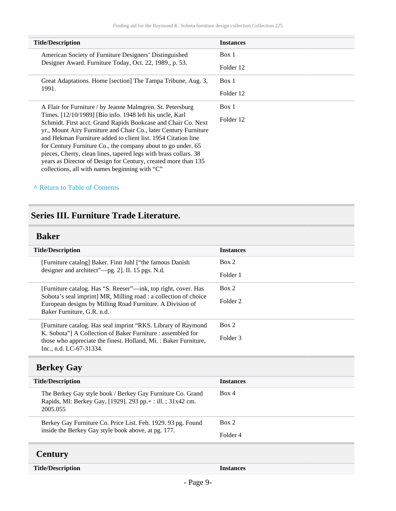| <b>Title/Description</b>                                                                                                      | <b>Instances</b> |
|-------------------------------------------------------------------------------------------------------------------------------|------------------|
| American Society of Furniture Designers' Distinguished<br>Designer Award. Furniture Today, Oct. 22, 1989., p. 53.             | Box 1            |
|                                                                                                                               | Folder 12        |
| Great Adaptations. Home [section] The Tampa Tribune, Aug. 3,                                                                  | Box 1            |
| 1991.                                                                                                                         | Folder 12        |
| A Flair for Furniture / by Jeanne Malmgren. St. Petersburg                                                                    | Box 1            |
| Times. [12/10/1989] [Bio info. 1948 left his uncle, Karl]<br>Schmidt. First acct. Grand Rapids Bookcase and Chair Co. Next    | Folder 12        |
| yr., Mount Airy Furniture and Chair Co., later Century Furniture                                                              |                  |
| and Hekman Furniture added to client list. 1954 Citation line<br>for Century Furniture Co., the company about to go under. 65 |                  |
| pieces, Cherry, clean lines, tapered legs with brass collars. 38                                                              |                  |
| years as Director of Design for Century, created more than 135                                                                |                  |
| collections, all with names beginning with "C"                                                                                |                  |

#### **^** [Return to Table of Contents](#page-1-0)

#### <span id="page-8-0"></span>**Series III. Furniture Trade Literature.**

#### <span id="page-8-1"></span>**Baker**

| <b>Title/Description</b>                                                                                                                                                                                                      | <b>Instances</b> |
|-------------------------------------------------------------------------------------------------------------------------------------------------------------------------------------------------------------------------------|------------------|
| [Furniture catalog] Baker. Finn Juhl ["the famous Danish"]<br>designer and architect"—pg. 2]. II. 15 pgs. N.d.                                                                                                                | Box 2            |
|                                                                                                                                                                                                                               | Folder 1         |
| [Furniture catalog. Has "S. Reeser"—ink, top right, cover. Has<br>Sobota's seal imprint] MR, Milling road : a collection of choice<br>European designs by Milling Road Furniture. A Division of<br>Baker Furniture, G.R. n.d. | Box 2            |
|                                                                                                                                                                                                                               | Folder 2         |
| [Furniture catalog. Has seal imprint "RKS. Library of Raymond"]                                                                                                                                                               | Box 2            |
| K. Sobota"] A Collection of Baker Furniture : assembled for<br>those who appreciate the finest. Holland, Mi.: Baker Furniture,                                                                                                | Folder 3         |
| Inc., n.d. LC-67-31334.                                                                                                                                                                                                       |                  |

# <span id="page-8-2"></span>**Berkey Gay**

| <b>Title/Description</b>                                                                                                            | <b>Instances</b> |
|-------------------------------------------------------------------------------------------------------------------------------------|------------------|
| The Berkey Gay style book / Berkey Gay Furniture Co. Grand<br>Rapids, MI: Berkey Gay, [1929]. 293 pp.+: ill.; 31x42 cm.<br>2005.055 | Box 4            |
| Berkey Gay Furniture Co. Price List. Feb. 1929. 93 pg. Found                                                                        | Box 2            |
| inside the Berkey Gay style book above, at pg. 177.                                                                                 | Folder 4         |
| <b>Century</b>                                                                                                                      |                  |

#### <span id="page-8-3"></span>**Title/Description Instances**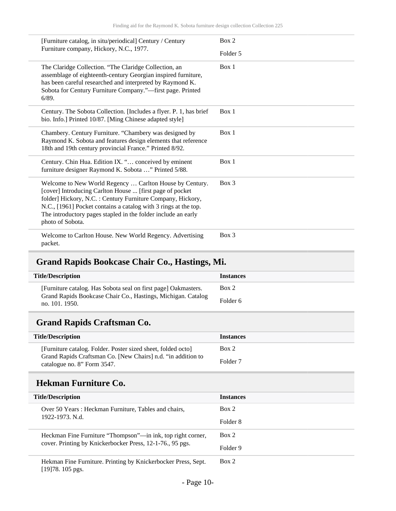| [Furniture catalog, in situ/periodical] Century / Century<br>Furniture company, Hickory, N.C., 1977.                                                                                                                                                                                                                                      | Box 2    |
|-------------------------------------------------------------------------------------------------------------------------------------------------------------------------------------------------------------------------------------------------------------------------------------------------------------------------------------------|----------|
|                                                                                                                                                                                                                                                                                                                                           | Folder 5 |
| The Claridge Collection. "The Claridge Collection, an<br>assemblage of eighteenth-century Georgian inspired furniture,<br>has been careful researched and interpreted by Raymond K.<br>Sobota for Century Furniture Company."-first page. Printed<br>6/89.                                                                                | Box 1    |
| Century. The Sobota Collection. [Includes a flyer. P. 1, has brief<br>bio. Info.] Printed 10/87. [Ming Chinese adapted style]                                                                                                                                                                                                             | Box 1    |
| Chambery. Century Furniture. "Chambery was designed by<br>Raymond K. Sobota and features design elements that reference<br>18th and 19th century provincial France." Printed 8/92.                                                                                                                                                        | Box 1    |
| Century. Chin Hua. Edition IX. " conceived by eminent<br>furniture designer Raymond K. Sobota " Printed 5/88.                                                                                                                                                                                                                             | Box 1    |
| Welcome to New World Regency  Carlton House by Century.<br>[cover] Introducing Carlton House  [first page of pocket<br>folder] Hickory, N.C.: Century Furniture Company, Hickory,<br>N.C., [1961] Pocket contains a catalog with 3 rings at the top.<br>The introductory pages stapled in the folder include an early<br>photo of Sobota. | $Box$ 3  |
| Welcome to Carlton House. New World Regency. Advertising<br>packet.                                                                                                                                                                                                                                                                       | $Box$ 3  |

# <span id="page-9-0"></span>**Grand Rapids Bookcase Chair Co., Hastings, Mi.**

| <b>Title/Description</b>                                                       | <b>Instances</b> |
|--------------------------------------------------------------------------------|------------------|
| [Furniture catalog. Has Sobota seal on first page] Oakmasters.                 | Box 2            |
| Grand Rapids Bookcase Chair Co., Hastings, Michigan. Catalog<br>no. 101. 1950. | Folder 6         |

# <span id="page-9-1"></span>**Grand Rapids Craftsman Co.**

| <b>Title/Description</b>                                                                    | <b>Instances</b>    |
|---------------------------------------------------------------------------------------------|---------------------|
| [Furniture catalog. Folder. Poster sized sheet, folded octo]                                | Box 2               |
| Grand Rapids Craftsman Co. [New Chairs] n.d. "in addition to<br>catalogue no. 8" Form 3547. | Folder <sub>7</sub> |

### <span id="page-9-2"></span>**Hekman Furniture Co.**

| <b>Title/Description</b>                                                                                                 | <b>Instances</b> |
|--------------------------------------------------------------------------------------------------------------------------|------------------|
| Over 50 Years: Heckman Furniture, Tables and chairs,<br>1922-1973. N.d.                                                  | Box 2            |
|                                                                                                                          | Folder 8         |
| Heckman Fine Furniture "Thompson"—in ink, top right corner,<br>cover. Printing by Knickerbocker Press, 12-1-76., 95 pgs. | Box 2            |
|                                                                                                                          | Folder 9         |
| Hekman Fine Furniture. Printing by Knickerbocker Press, Sept.<br>[19] 78. 105 pgs.                                       | Box 2            |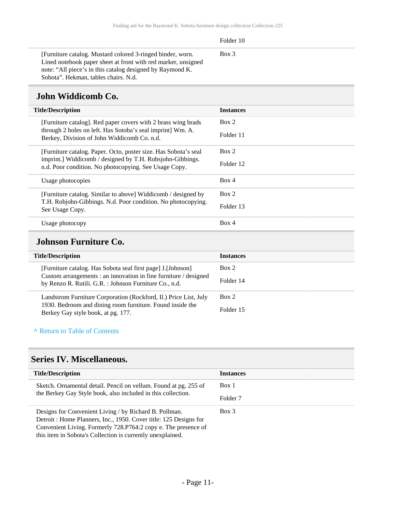| Box 3<br>[Furniture catalog. Mustard colored 3-ringed binder, worn.]<br>Lined notebook paper sheet at front with red marker, unsigned<br>note: "All piece's in this catalog designed by Raymond K. |  | Folder 10 |  |
|----------------------------------------------------------------------------------------------------------------------------------------------------------------------------------------------------|--|-----------|--|
| Sobota". Hekman, tables chairs. N.d.                                                                                                                                                               |  |           |  |

# <span id="page-10-0"></span>**John Widdicomb Co.**

| <b>Title/Description</b>                                                                                           | <b>Instances</b> |
|--------------------------------------------------------------------------------------------------------------------|------------------|
| [Furniture catalog]. Red paper covers with 2 brass wing brads                                                      | Box 2            |
| through 2 holes on left. Has Sotoba's seal imprint Wm. A.<br>Berkey, Division of John Widdicomb Co. n.d.           | Folder 11        |
| [Furniture catalog. Paper. Octo, poster size. Has Sobota's seal                                                    | Box 2            |
| imprint.] Widdicomb / designed by T.H. Robsjohn-Gibbings.<br>n.d. Poor condition. No photocopying. See Usage Copy. | Folder 12        |
| Usage photocopies                                                                                                  | Box 4            |
| [Furniture catalog. Similar to above] Widdicomb / designed by                                                      | Box 2            |
| T.H. Robjohn-Gibbings. N.d. Poor condition. No photocopying.<br>See Usage Copy.                                    | Folder 13        |
| Usage photocopy                                                                                                    | Box 4            |
|                                                                                                                    |                  |

### <span id="page-10-1"></span>**Johnson Furniture Co.**

| <b>Title/Description</b>                                                                                                   | <b>Instances</b> |
|----------------------------------------------------------------------------------------------------------------------------|------------------|
| [Furniture catalog. Has Sobota seal first page] J. [Johnson]                                                               | Box 2            |
| Custom arrangements : an innovation in fine furniture / designed<br>by Renzo R. Rutili. G.R. : Johnson Furniture Co., n.d. | Folder 14        |
| Landstrom Furniture Corporation (Rockford, Il.) Price List, July                                                           | Box 2            |
| 1930. Bedroom and dining room furniture. Found inside the<br>Berkey Gay style book, at pg. 177.                            | Folder 15        |

#### **^** [Return to Table of Contents](#page-1-0)

#### <span id="page-10-2"></span>**Series IV. Miscellaneous.**

|  | <b>Title/Description</b>                                                                                                         | <b>Instances</b> |
|--|----------------------------------------------------------------------------------------------------------------------------------|------------------|
|  | Sketch. Ornamental detail. Pencil on vellum. Found at pg. 255 of<br>the Berkey Gay Style book, also included in this collection. | Box 1            |
|  |                                                                                                                                  | Folder 7         |
|  | Designs for Convenient Living / by Richard B. Pollman.                                                                           | $Box\ 3$         |
|  | Detroit: Home Planners, Inc., 1950. Cover title: 125 Designs for                                                                 |                  |
|  | Convenient Living. Formerly 728.P764:2 copy e. The presence of                                                                   |                  |
|  | this item in Sobota's Collection is currently unexplained.                                                                       |                  |